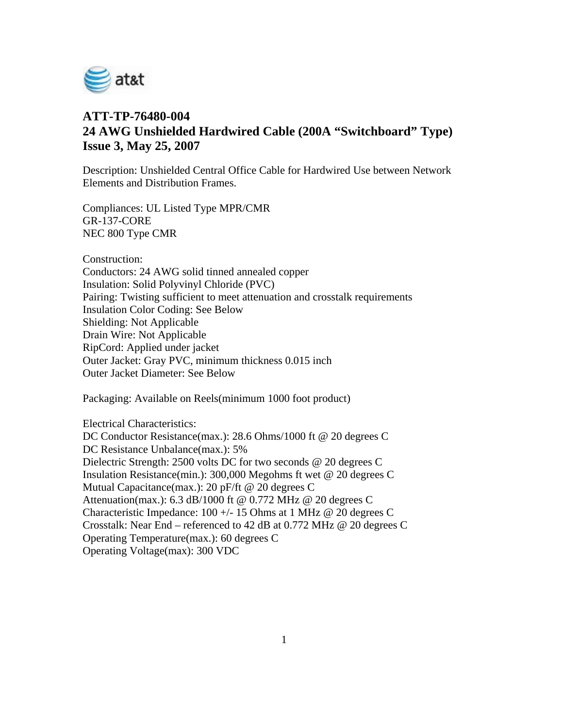

## **ATT-TP-76480-004 24 AWG Unshielded Hardwired Cable (200A "Switchboard" Type) Issue 3, May 25, 2007**

Description: Unshielded Central Office Cable for Hardwired Use between Network Elements and Distribution Frames.

Compliances: UL Listed Type MPR/CMR GR-137-CORE NEC 800 Type CMR

Construction:

Conductors: 24 AWG solid tinned annealed copper Insulation: Solid Polyvinyl Chloride (PVC) Pairing: Twisting sufficient to meet attenuation and crosstalk requirements Insulation Color Coding: See Below Shielding: Not Applicable Drain Wire: Not Applicable RipCord: Applied under jacket Outer Jacket: Gray PVC, minimum thickness 0.015 inch Outer Jacket Diameter: See Below

Packaging: Available on Reels(minimum 1000 foot product)

Electrical Characteristics: DC Conductor Resistance(max.): 28.6 Ohms/1000 ft @ 20 degrees C DC Resistance Unbalance(max.): 5% Dielectric Strength: 2500 volts DC for two seconds @ 20 degrees C Insulation Resistance(min.): 300,000 Megohms ft wet @ 20 degrees C Mutual Capacitance(max.): 20 pF/ft @ 20 degrees C Attenuation(max.): 6.3 dB/1000 ft @ 0.772 MHz @ 20 degrees C Characteristic Impedance:  $100 +/- 15$  Ohms at 1 MHz @ 20 degrees C Crosstalk: Near End – referenced to 42 dB at 0.772 MHz @ 20 degrees C Operating Temperature(max.): 60 degrees C Operating Voltage(max): 300 VDC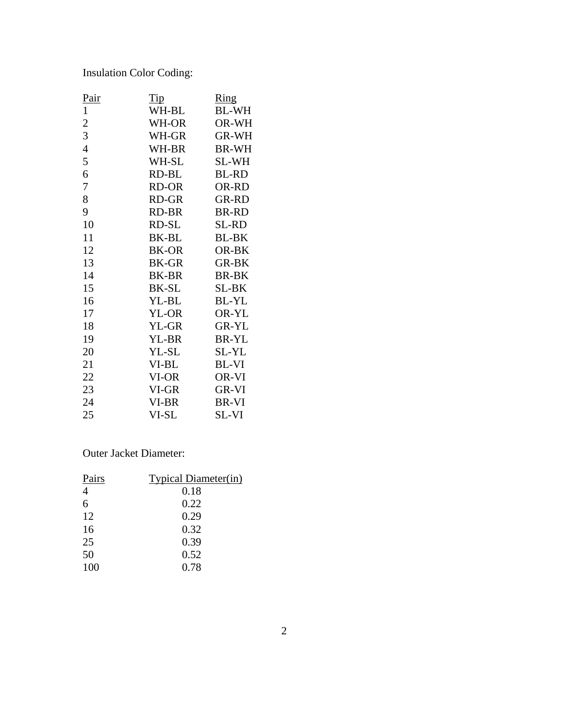Insulation Color Coding:

| <u>Pair</u>    | $\overline{\text{Tip}}$ | <u>Ring</u>  |
|----------------|-------------------------|--------------|
| $\mathbf{1}$   | WH-BL                   | <b>BL-WH</b> |
| $\overline{c}$ | WH-OR                   | OR-WH        |
| 3              | WH-GR                   | <b>GR-WH</b> |
| $\overline{4}$ | WH-BR                   | <b>BR-WH</b> |
| 5              | WH-SL                   | SL-WH        |
| 6              | RD-BL                   | <b>BL-RD</b> |
| 7              | RD-OR                   | OR-RD        |
| 8              | RD-GR                   | <b>GR-RD</b> |
| 9              | RD-BR                   | <b>BR-RD</b> |
| 10             | RD-SL                   | SL-RD        |
| 11             | BK-BL                   | <b>BL-BK</b> |
| 12             | <b>BK-OR</b>            | OR-BK        |
| 13             | <b>BK-GR</b>            | <b>GR-BK</b> |
| 14             | <b>BK-BR</b>            | <b>BR-BK</b> |
| 15             | <b>BK-SL</b>            | SL-BK        |
| 16             | YL-BL                   | <b>BL-YL</b> |
| 17             | YL-OR                   | OR-YL        |
| 18             | YL-GR                   | <b>GR-YL</b> |
| 19             | YL-BR                   | BR-YL        |
| 20             | YL-SL                   | SL-YL        |
| 21             | VI-BL                   | BL-VI        |
| 22             | VI-OR                   | OR-VI        |
| 23             | VI-GR                   | GR-VI        |
| 24             | VI-BR                   | BR-VI        |
| 25             | VI-SL                   | SL-VI        |
|                |                         |              |

Outer Jacket Diameter:

| Pairs          | <b>Typical Diameter(in)</b> |  |
|----------------|-----------------------------|--|
| $\overline{4}$ | 0.18                        |  |
| 6              | 0.22                        |  |
| 12             | 0.29                        |  |
| 16             | 0.32                        |  |
| 25             | 0.39                        |  |
| 50             | 0.52                        |  |
| 100            | 0.78                        |  |
|                |                             |  |